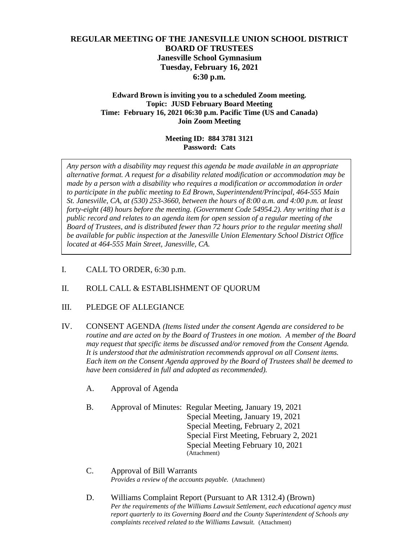# **REGULAR MEETING OF THE JANESVILLE UNION SCHOOL DISTRICT BOARD OF TRUSTEES Janesville School Gymnasium Tuesday, February 16, 2021 6:30 p.m.**

#### **Edward Brown is inviting you to a scheduled Zoom meeting. Topic: JUSD February Board Meeting Time: February 16, 2021 06:30 p.m. Pacific Time (US and Canada) Join Zoom Meeting**

### **Meeting ID: 884 3781 3121 Password: Cats**

*Any person with a disability may request this agenda be made available in an appropriate alternative format. A request for a disability related modification or accommodation may be made by a person with a disability who requires a modification or accommodation in order to participate in the public meeting to Ed Brown, Superintendent/Principal, 464-555 Main St. Janesville, CA, at (530) 253-3660, between the hours of 8:00 a.m. and 4:00 p.m. at least forty-eight (48) hours before the meeting. (Government Code 54954.2). Any writing that is a public record and relates to an agenda item for open session of a regular meeting of the Board of Trustees, and is distributed fewer than 72 hours prior to the regular meeting shall be available for public inspection at the Janesville Union Elementary School District Office located at 464-555 Main Street, Janesville, CA.* 

I. CALL TO ORDER, 6:30 p.m.

### II. ROLL CALL & ESTABLISHMENT OF QUORUM

### III. PLEDGE OF ALLEGIANCE

- IV. CONSENT AGENDA *(Items listed under the consent Agenda are considered to be routine and are acted on by the Board of Trustees in one motion. A member of the Board may request that specific items be discussed and/or removed from the Consent Agenda. It is understood that the administration recommends approval on all Consent items. Each item on the Consent Agenda approved by the Board of Trustees shall be deemed to have been considered in full and adopted as recommended).*
	- A. Approval of Agenda
	- B. Approval of Minutes: Regular Meeting, January 19, 2021 Special Meeting, January 19, 2021 Special Meeting, February 2, 2021 Special First Meeting, February 2, 2021 Special Meeting February 10, 2021 (Attachment)
	- C. Approval of Bill Warrants *Provides a review of the accounts payable.* (Attachment)
	- D. Williams Complaint Report (Pursuant to AR 1312.4) (Brown) *Per the requirements of the Williams Lawsuit Settlement, each educational agency must report quarterly to its Governing Board and the County Superintendent of Schools any complaints received related to the Williams Lawsuit.* (Attachment)